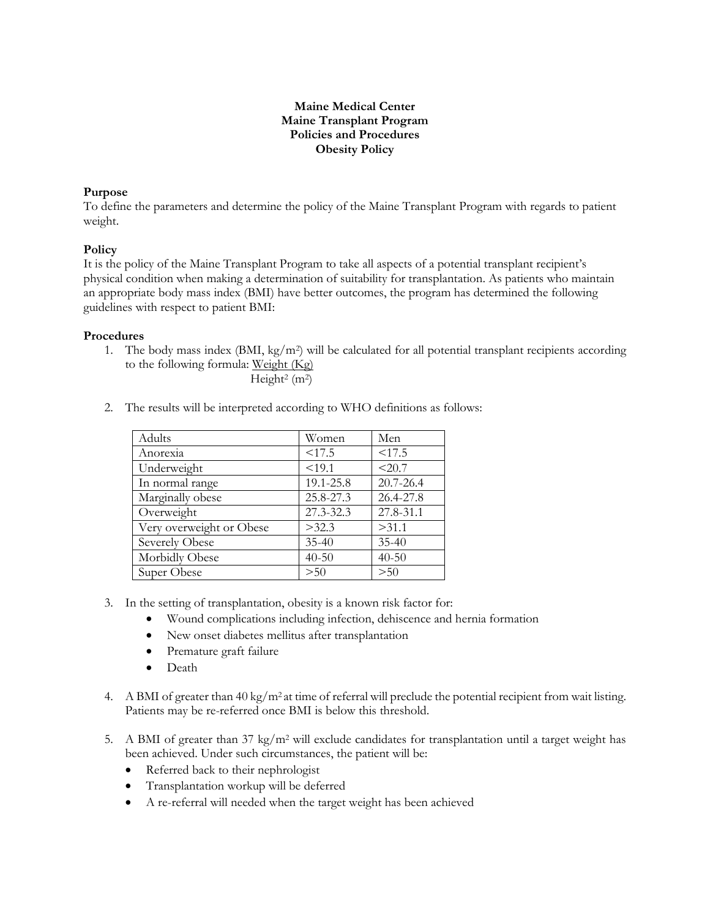# **Maine Medical Center Maine Transplant Program Policies and Procedures Obesity Policy**

### **Purpose**

To define the parameters and determine the policy of the Maine Transplant Program with regards to patient weight.

### **Policy**

It is the policy of the Maine Transplant Program to take all aspects of a potential transplant recipient's physical condition when making a determination of suitability for transplantation. As patients who maintain an appropriate body mass index (BMI) have better outcomes, the program has determined the following guidelines with respect to patient BMI:

#### **Procedures**

1. The body mass index (BMI, kg/m<sup>2</sup>) will be calculated for all potential transplant recipients according to the following formula: Weight (Kg)

Height<sup>2</sup> (m<sup>2</sup>)

2. The results will be interpreted according to WHO definitions as follows:

| Adults                   | Women     | Men       |
|--------------------------|-----------|-----------|
| Anorexia                 | < 17.5    | < 17.5    |
| Underweight              | < 19.1    | < 20.7    |
| In normal range          | 19.1-25.8 | 20.7-26.4 |
| Marginally obese         | 25.8-27.3 | 26.4-27.8 |
| Overweight               | 27.3-32.3 | 27.8-31.1 |
| Very overweight or Obese | >32.3     | >31.1     |
| Severely Obese           | $35 - 40$ | $35 - 40$ |
| Morbidly Obese           | $40 - 50$ | $40 - 50$ |
| Super Obese              | > 50      | $>50$     |

- 3. In the setting of transplantation, obesity is a known risk factor for:
	- Wound complications including infection, dehiscence and hernia formation
	- New onset diabetes mellitus after transplantation
	- Premature graft failure
	- Death
- 4. A BMI of greater than 40 kg/m<sup>2</sup> at time of referral will preclude the potential recipient from wait listing. Patients may be re-referred once BMI is below this threshold.
- 5. A BMI of greater than  $37 \text{ kg/m}^2$  will exclude candidates for transplantation until a target weight has been achieved. Under such circumstances, the patient will be:
	- Referred back to their nephrologist
	- Transplantation workup will be deferred
	- A re-referral will needed when the target weight has been achieved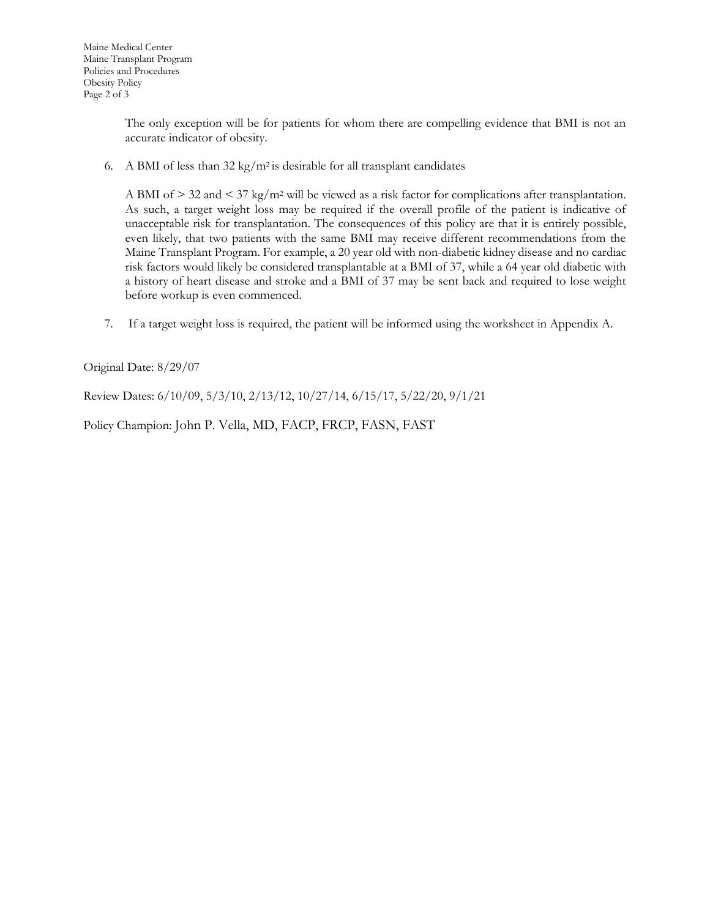The only exception will be for patients for whom there are compelling evidence that BMI is not an accurate indicator of obesity.

6. A BMI of less than  $32 \text{ kg/m}^2$  is desirable for all transplant candidates

A BMI of  $> 32$  and  $\lt 37$  kg/m<sup>2</sup> will be viewed as a risk factor for complications after transplantation. As such, a target weight loss may be required if the overall profile of the patient is indicative of unacceptable risk for transplantation. The consequences of this policy are that it is entirely possible, even likely, that two patients with the same BMI may receive different recommendations from the Maine Transplant Program. For example, a 20 year old with non-diabetic kidney disease and no cardiac risk factors would likely be considered transplantable at a BMI of 37, while a 64 year old diabetic with a history of heart disease and stroke and a BMI of 37 may be sent back and required to lose weight before workup is even commenced.

7. If a target weight loss is required, the patient will be informed using the worksheet in Appendix A.

Original Date: 8/29/07

Review Dates: 6/10/09, 5/3/10, 2/13/12, 10/27/14, 6/15/17, 5/22/20, 9/1/21

Policy Champion: John P. Vella, MD, FACP, FRCP, FASN, FAST